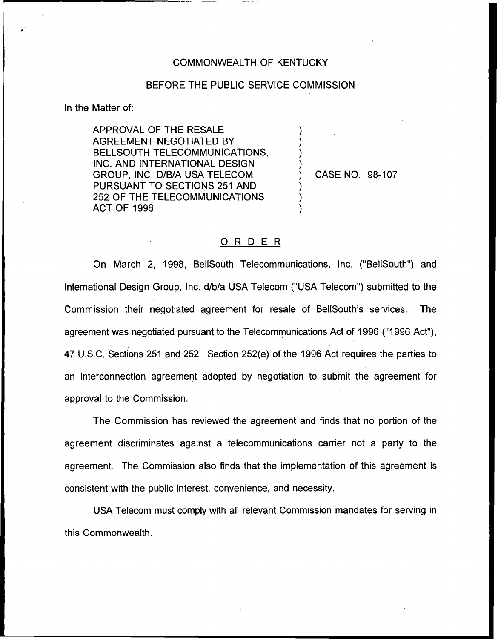## COMMONWEALTH OF KENTUCKY

## BEFORE THE PUBLIC SERVICE COMMISSION

) ) ) )

) ) )

In the Matter of:

APPROVAL OF THE RESALE AGREEMENT NEGOTIATED BY BELLSOUTH TELECOMMUNICATIONS, INC. AND INTERNATIONAL DESIGN GROUP, INC. D/B/A USA TELECOM PURSUANT TO SECTIONS 251 AND 252 OF THE TELECOMMUNICATIONS ACT OF 1996

) CASE NO. 98-107

## ORDER

On March 2, 1998, BellSouth Telecommunications, Inc. ("BellSouth") and International Design Group, Inc. d/b/a USA Telecom ("USA Telecom") submitted to the Commission their negotiated agreement for resale of BelISouth's services. The agreement was negotiated pursuant to the Telecommunications Act of 1996 ("1996 Act"). 47 U.S.C. Sections 251 and 252. Section 252(e) of the 1996 Act requires the parties to an interconnection agreement adopted by negotiation to submit the agreement for approval to the Commission.

The Commission has reviewed the agreement and finds that no portion of the agreement discriminates against a telecommunications carrier not a party to the agreement. The Commission also finds that the implementation of this agreement is consistent with the public interest, convenience, and necessity.

USA Telecom must comply with all relevant Commission mandates for serving in this Commonwealth.